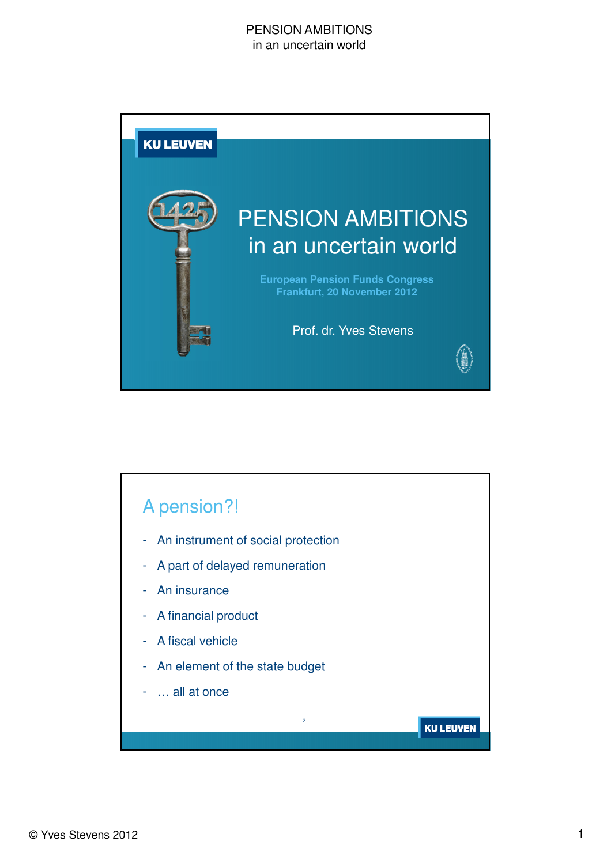

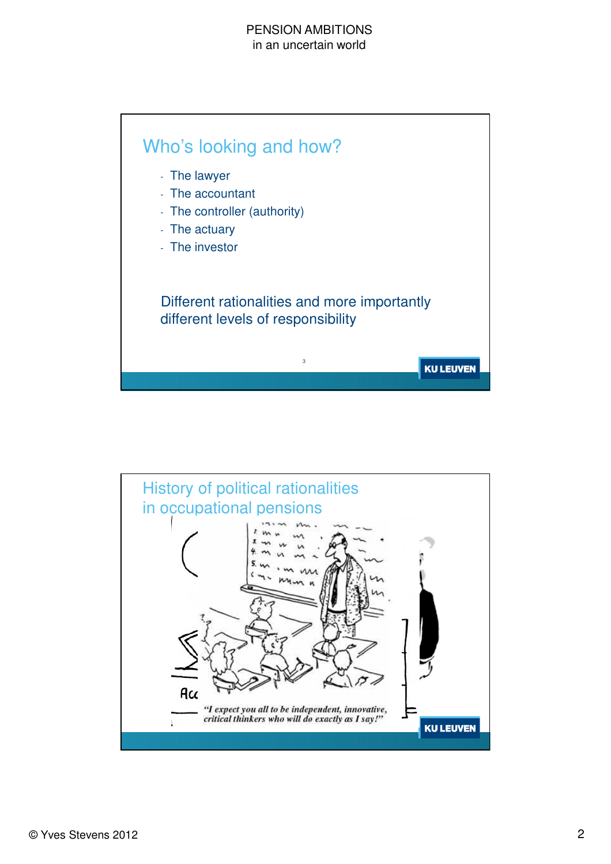

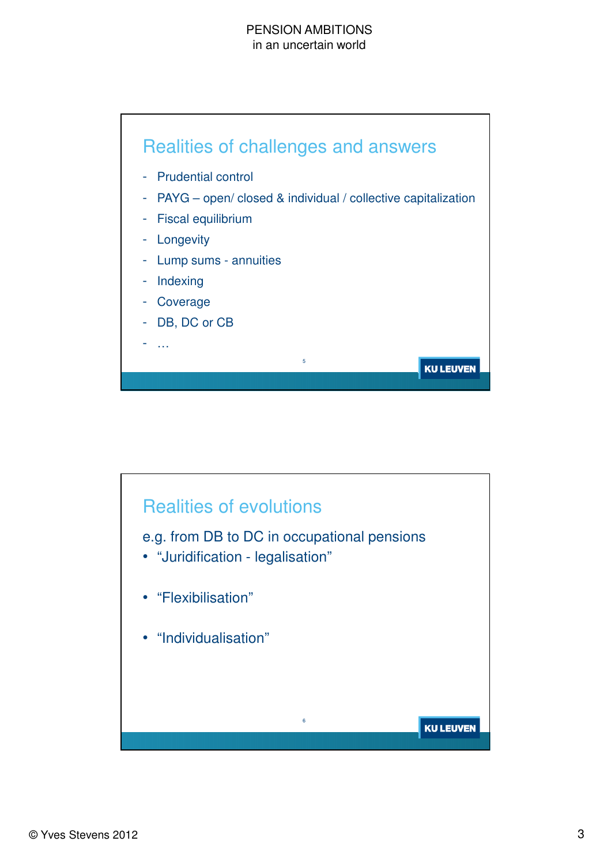